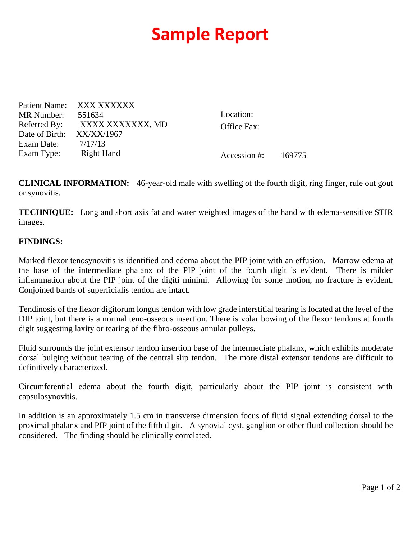## **Sample Report**

|            | Patient Name: XXX XXXXXX      |                       |  |
|------------|-------------------------------|-----------------------|--|
| MR Number: | 551634                        | Location:             |  |
|            | Referred By: XXXX XXXXXXX, MD | Office Fax:           |  |
|            | Date of Birth: XX/XX/1967     |                       |  |
| Exam Date: | 7/17/13                       |                       |  |
| Exam Type: | Right Hand                    | Accession #: $169775$ |  |

**CLINICAL INFORMATION:** 46-year-old male with swelling of the fourth digit, ring finger, rule out gout or synovitis.

**TECHNIQUE:** Long and short axis fat and water weighted images of the hand with edema-sensitive STIR images.

## **FINDINGS:**

Marked flexor tenosynovitis is identified and edema about the PIP joint with an effusion. Marrow edema at the base of the intermediate phalanx of the PIP joint of the fourth digit is evident. There is milder inflammation about the PIP joint of the digiti minimi. Allowing for some motion, no fracture is evident. Conjoined bands of superficialis tendon are intact.

Tendinosis of the flexor digitorum longus tendon with low grade interstitial tearing is located at the level of the DIP joint, but there is a normal teno-osseous insertion. There is volar bowing of the flexor tendons at fourth digit suggesting laxity or tearing of the fibro-osseous annular pulleys.

Fluid surrounds the joint extensor tendon insertion base of the intermediate phalanx, which exhibits moderate dorsal bulging without tearing of the central slip tendon. The more distal extensor tendons are difficult to definitively characterized.

Circumferential edema about the fourth digit, particularly about the PIP joint is consistent with capsulosynovitis.

In addition is an approximately 1.5 cm in transverse dimension focus of fluid signal extending dorsal to the proximal phalanx and PIP joint of the fifth digit. A synovial cyst, ganglion or other fluid collection should be considered. The finding should be clinically correlated.